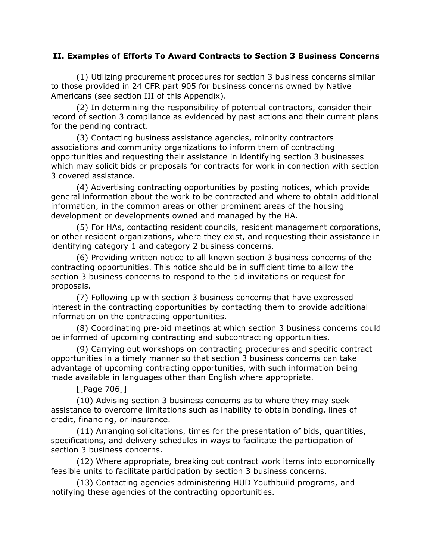## **II. Examples of Efforts To Award Contracts to Section 3 Business Concerns**

(1) Utilizing procurement procedures for section 3 business concerns similar to those provided in 24 CFR part 905 for business concerns owned by Native Americans (see section III of this Appendix).

(2) In determining the responsibility of potential contractors, consider their record of section 3 compliance as evidenced by past actions and their current plans for the pending contract.

(3) Contacting business assistance agencies, minority contractors associations and community organizations to inform them of contracting opportunities and requesting their assistance in identifying section 3 businesses which may solicit bids or proposals for contracts for work in connection with section 3 covered assistance.

(4) Advertising contracting opportunities by posting notices, which provide general information about the work to be contracted and where to obtain additional information, in the common areas or other prominent areas of the housing development or developments owned and managed by the HA.

(5) For HAs, contacting resident councils, resident management corporations, or other resident organizations, where they exist, and requesting their assistance in identifying category 1 and category 2 business concerns.

(6) Providing written notice to all known section 3 business concerns of the contracting opportunities. This notice should be in sufficient time to allow the section 3 business concerns to respond to the bid invitations or request for proposals.

(7) Following up with section 3 business concerns that have expressed interest in the contracting opportunities by contacting them to provide additional information on the contracting opportunities.

(8) Coordinating pre-bid meetings at which section 3 business concerns could be informed of upcoming contracting and subcontracting opportunities.

(9) Carrying out workshops on contracting procedures and specific contract opportunities in a timely manner so that section 3 business concerns can take advantage of upcoming contracting opportunities, with such information being made available in languages other than English where appropriate.

[[Page 706]]

(10) Advising section 3 business concerns as to where they may seek assistance to overcome limitations such as inability to obtain bonding, lines of credit, financing, or insurance.

(11) Arranging solicitations, times for the presentation of bids, quantities, specifications, and delivery schedules in ways to facilitate the participation of section 3 business concerns.

(12) Where appropriate, breaking out contract work items into economically feasible units to facilitate participation by section 3 business concerns.

(13) Contacting agencies administering HUD Youthbuild programs, and notifying these agencies of the contracting opportunities.